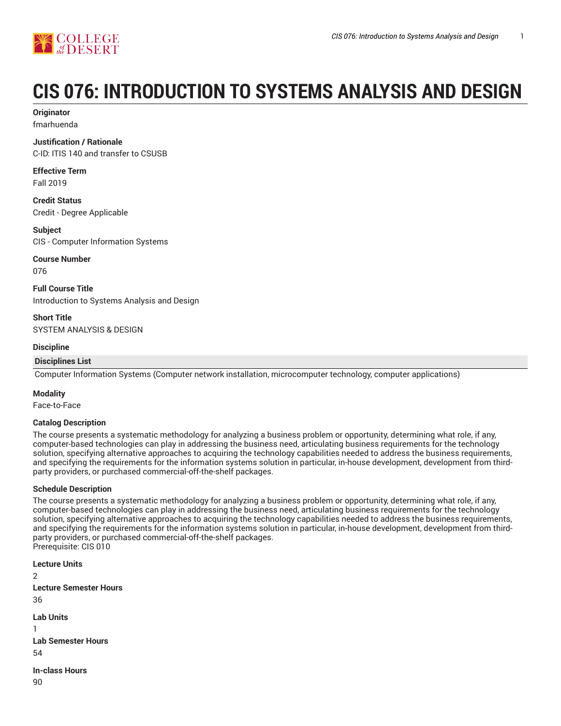

# **CIS 076: INTRODUCTION TO SYSTEMS ANALYSIS AND DESIGN**

#### **Originator** fmarhuenda

### **Justification / Rationale**

C-ID: ITIS 140 and transfer to CSUSB

# **Effective Term**

Fall 2019

**Credit Status** Credit - Degree Applicable

#### **Subject** CIS - Computer Information Systems

### **Course Number**

076

**Full Course Title** Introduction to Systems Analysis and Design

#### **Short Title** SYSTEM ANALYSIS & DESIGN

### **Discipline**

# **Disciplines List**

Computer Information Systems (Computer network installation, microcomputer technology, computer applications)

# **Modality**

Face-to-Face

#### **Catalog Description**

The course presents a systematic methodology for analyzing a business problem or opportunity, determining what role, if any, computer-based technologies can play in addressing the business need, articulating business requirements for the technology solution, specifying alternative approaches to acquiring the technology capabilities needed to address the business requirements, and specifying the requirements for the information systems solution in particular, in-house development, development from thirdparty providers, or purchased commercial-off-the-shelf packages.

# **Schedule Description**

The course presents a systematic methodology for analyzing a business problem or opportunity, determining what role, if any, computer-based technologies can play in addressing the business need, articulating business requirements for the technology solution, specifying alternative approaches to acquiring the technology capabilities needed to address the business requirements, and specifying the requirements for the information systems solution in particular, in-house development, development from thirdparty providers, or purchased commercial-off-the-shelf packages. Prerequisite: CIS 010

```
Lecture Units
\mathfrak{p}Lecture Semester Hours
36
Lab Units
1
Lab Semester Hours
54
In-class Hours
90
```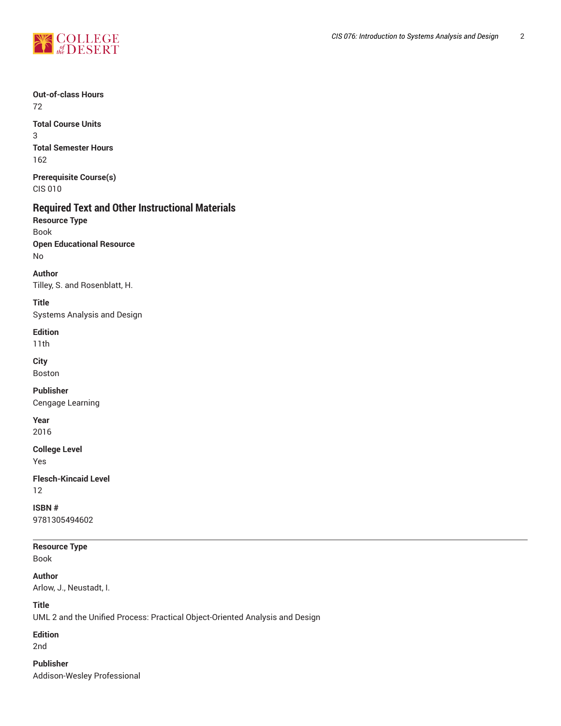

# **Out-of-class Hours** 72 **Total Course Units Total Semester Hours** 162 **Prerequisite Course(s)**

CIS 010

3

# **Required Text and Other Instructional Materials**

**Resource Type** Book **Open Educational Resource** No

**Author** Tilley, S. and Rosenblatt, H.

# **Title**

Systems Analysis and Design

**Edition**

11th

**City** Boston

# **Publisher**

Cengage Learning

**Year**

2016

# **College Level**

Yes

**Flesch-Kincaid Level** 12

**ISBN #** 9781305494602

# **Resource Type**

Book

**Author**

Arlow, J., Neustadt, I.

**Title**

UML 2 and the Unified Process: Practical Object-Oriented Analysis and Design

# **Edition**

2nd

# **Publisher**

Addison-Wesley Professional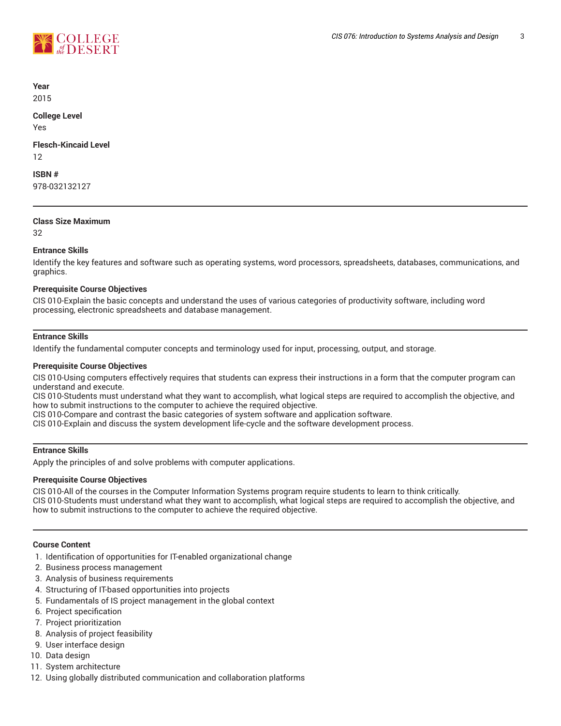

**Year** 2015

# **College Level**

Yes

#### **Flesch-Kincaid Level** 12

**ISBN #** 978-032132127

#### **Class Size Maximum**

32

#### **Entrance Skills**

Identify the key features and software such as operating systems, word processors, spreadsheets, databases, communications, and graphics.

#### **Prerequisite Course Objectives**

CIS 010-Explain the basic concepts and understand the uses of various categories of productivity software, including word processing, electronic spreadsheets and database management.

#### **Entrance Skills**

Identify the fundamental computer concepts and terminology used for input, processing, output, and storage.

#### **Prerequisite Course Objectives**

CIS 010-Using computers effectively requires that students can express their instructions in a form that the computer program can understand and execute.

CIS 010-Students must understand what they want to accomplish, what logical steps are required to accomplish the objective, and how to submit instructions to the computer to achieve the required objective.

CIS 010-Compare and contrast the basic categories of system software and application software.

CIS 010-Explain and discuss the system development life-cycle and the software development process.

#### **Entrance Skills**

Apply the principles of and solve problems with computer applications.

#### **Prerequisite Course Objectives**

CIS 010-All of the courses in the Computer Information Systems program require students to learn to think critically. CIS 010-Students must understand what they want to accomplish, what logical steps are required to accomplish the objective, and how to submit instructions to the computer to achieve the required objective.

#### **Course Content**

- 1. Identification of opportunities for IT-enabled organizational change
- 2. Business process management
- 3. Analysis of business requirements
- 4. Structuring of IT-based opportunities into projects
- 5. Fundamentals of IS project management in the global context
- 6. Project specification
- 7. Project prioritization
- 8. Analysis of project feasibility
- 9. User interface design
- 10. Data design
- 11. System architecture
- 12. Using globally distributed communication and collaboration platforms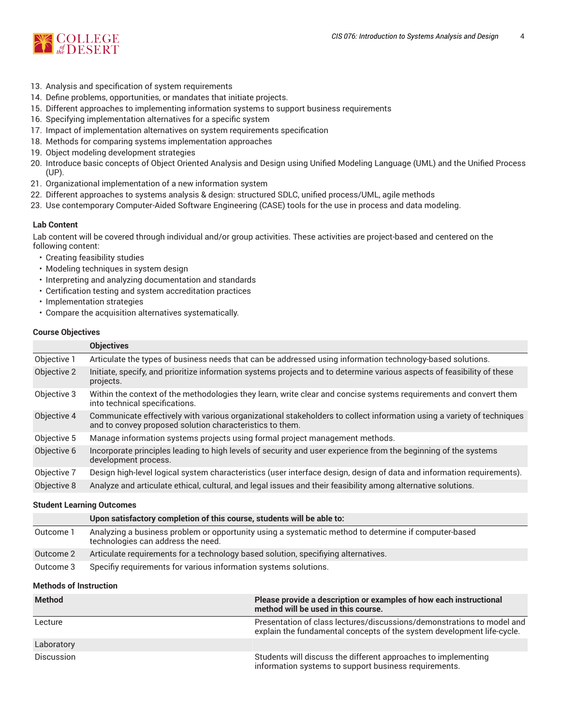

- 13. Analysis and specification of system requirements
- 14. Define problems, opportunities, or mandates that initiate projects.
- 15. Different approaches to implementing information systems to support business requirements
- 16. Specifying implementation alternatives for a specific system
- 17. Impact of implementation alternatives on system requirements specification
- 18. Methods for comparing systems implementation approaches
- 19. Object modeling development strategies
- 20. Introduce basic concepts of Object Oriented Analysis and Design using Unified Modeling Language (UML) and the Unified Process (UP).
- 21. Organizational implementation of a new information system
- 22. Different approaches to systems analysis & design: structured SDLC, unified process/UML, agile methods
- 23. Use contemporary Computer-Aided Software Engineering (CASE) tools for the use in process and data modeling.

#### **Lab Content**

Lab content will be covered through individual and/or group activities. These activities are project-based and centered on the following content:

- Creating feasibility studies
- Modeling techniques in system design
- Interpreting and analyzing documentation and standards
- Certification testing and system accreditation practices
- Implementation strategies
- Compare the acquisition alternatives systematically.

#### **Course Objectives**

|             | <b>Objectives</b>                                                                                                                                                                 |
|-------------|-----------------------------------------------------------------------------------------------------------------------------------------------------------------------------------|
| Objective 1 | Articulate the types of business needs that can be addressed using information technology-based solutions.                                                                        |
| Objective 2 | Initiate, specify, and prioritize information systems projects and to determine various aspects of feasibility of these<br>projects.                                              |
| Objective 3 | Within the context of the methodologies they learn, write clear and concise systems requirements and convert them<br>into technical specifications.                               |
| Objective 4 | Communicate effectively with various organizational stakeholders to collect information using a variety of techniques<br>and to convey proposed solution characteristics to them. |
| Objective 5 | Manage information systems projects using formal project management methods.                                                                                                      |
| Objective 6 | Incorporate principles leading to high levels of security and user experience from the beginning of the systems<br>development process.                                           |
| Objective 7 | Design high-level logical system characteristics (user interface design, design of data and information requirements).                                                            |
| Objective 8 | Analyze and articulate ethical, cultural, and legal issues and their feasibility among alternative solutions.                                                                     |

#### **Student Learning Outcomes**

|           | Upon satisfactory completion of this course, students will be able to:                                                                     |
|-----------|--------------------------------------------------------------------------------------------------------------------------------------------|
| Outcome 1 | Analyzing a business problem or opportunity using a systematic method to determine if computer-based<br>technologies can address the need. |
| Outcome 2 | Articulate requirements for a technology based solution, specifiying alternatives.                                                         |
| Outcome 3 | Specifiy requirements for various information systems solutions.                                                                           |

#### **Methods of Instruction**

| <b>Method</b>     | Please provide a description or examples of how each instructional<br>method will be used in this course.                                        |
|-------------------|--------------------------------------------------------------------------------------------------------------------------------------------------|
| Lecture           | Presentation of class lectures/discussions/demonstrations to model and<br>explain the fundamental concepts of the system development life-cycle. |
| Laboratory        |                                                                                                                                                  |
| <b>Discussion</b> | Students will discuss the different approaches to implementing<br>information systems to support business requirements.                          |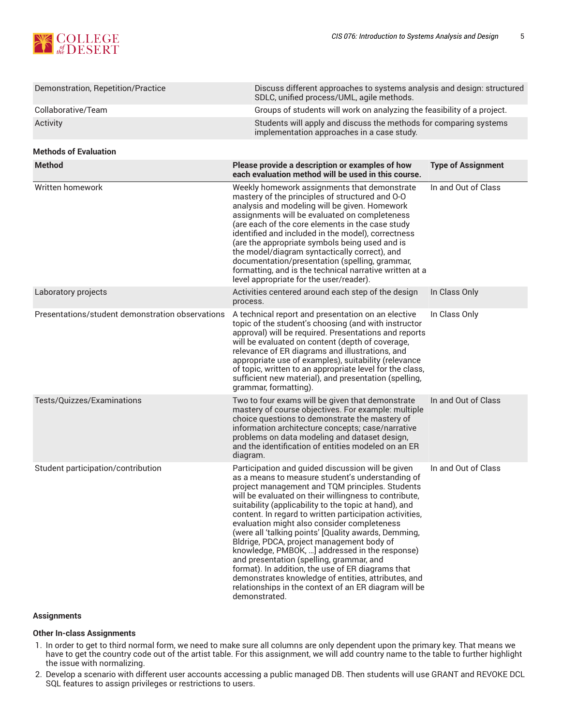

| Demonstration, Repetition/Practice               | Discuss different approaches to systems analysis and design: structured<br>SDLC, unified process/UML, agile methods.                                                                                                                                                                                                                                                                                                                                                                                                                                                                                                                                                                                                                                                          |                           |  |
|--------------------------------------------------|-------------------------------------------------------------------------------------------------------------------------------------------------------------------------------------------------------------------------------------------------------------------------------------------------------------------------------------------------------------------------------------------------------------------------------------------------------------------------------------------------------------------------------------------------------------------------------------------------------------------------------------------------------------------------------------------------------------------------------------------------------------------------------|---------------------------|--|
| Collaborative/Team                               | Groups of students will work on analyzing the feasibility of a project.                                                                                                                                                                                                                                                                                                                                                                                                                                                                                                                                                                                                                                                                                                       |                           |  |
| Activity                                         | Students will apply and discuss the methods for comparing systems<br>implementation approaches in a case study.                                                                                                                                                                                                                                                                                                                                                                                                                                                                                                                                                                                                                                                               |                           |  |
| <b>Methods of Evaluation</b>                     |                                                                                                                                                                                                                                                                                                                                                                                                                                                                                                                                                                                                                                                                                                                                                                               |                           |  |
| <b>Method</b>                                    | Please provide a description or examples of how<br>each evaluation method will be used in this course.                                                                                                                                                                                                                                                                                                                                                                                                                                                                                                                                                                                                                                                                        | <b>Type of Assignment</b> |  |
| Written homework                                 | Weekly homework assignments that demonstrate<br>mastery of the principles of structured and O-O<br>analysis and modeling will be given. Homework<br>assignments will be evaluated on completeness<br>(are each of the core elements in the case study<br>identified and included in the model), correctness<br>(are the appropriate symbols being used and is<br>the model/diagram syntactically correct), and<br>documentation/presentation (spelling, grammar,<br>formatting, and is the technical narrative written at a<br>level appropriate for the user/reader).                                                                                                                                                                                                        | In and Out of Class       |  |
| Laboratory projects                              | Activities centered around each step of the design<br>process.                                                                                                                                                                                                                                                                                                                                                                                                                                                                                                                                                                                                                                                                                                                | In Class Only             |  |
| Presentations/student demonstration observations | A technical report and presentation on an elective<br>topic of the student's choosing (and with instructor<br>approval) will be required. Presentations and reports<br>will be evaluated on content (depth of coverage,<br>relevance of ER diagrams and illustrations, and<br>appropriate use of examples), suitability (relevance<br>of topic, written to an appropriate level for the class,<br>sufficient new material), and presentation (spelling,<br>grammar, formatting).                                                                                                                                                                                                                                                                                              | In Class Only             |  |
| Tests/Quizzes/Examinations                       | Two to four exams will be given that demonstrate<br>mastery of course objectives. For example: multiple<br>choice questions to demonstrate the mastery of<br>information architecture concepts; case/narrative<br>problems on data modeling and dataset design,<br>and the identification of entities modeled on an ER<br>diagram.                                                                                                                                                                                                                                                                                                                                                                                                                                            | In and Out of Class       |  |
| Student participation/contribution               | Participation and guided discussion will be given<br>as a means to measure student's understanding of<br>project management and TQM principles. Students<br>will be evaluated on their willingness to contribute,<br>suitability (applicability to the topic at hand), and<br>content. In regard to written participation activities,<br>evaluation might also consider completeness<br>(were all 'talking points' [Quality awards, Demming,<br>Bldrige, PDCA, project management body of<br>knowledge, PMBOK, ] addressed in the response)<br>and presentation (spelling, grammar, and<br>format). In addition, the use of ER diagrams that<br>demonstrates knowledge of entities, attributes, and<br>relationships in the context of an ER diagram will be<br>demonstrated. | In and Out of Class       |  |

#### **Assignments**

#### **Other In-class Assignments**

- 1. In order to get to third normal form, we need to make sure all columns are only dependent upon the primary key. That means we have to get the country code out of the artist table. For this assignment, we will add country name to the table to further highlight the issue with normalizing.
- 2. Develop a scenario with different user accounts accessing a public managed DB. Then students will use GRANT and REVOKE DCL SQL features to assign privileges or restrictions to users.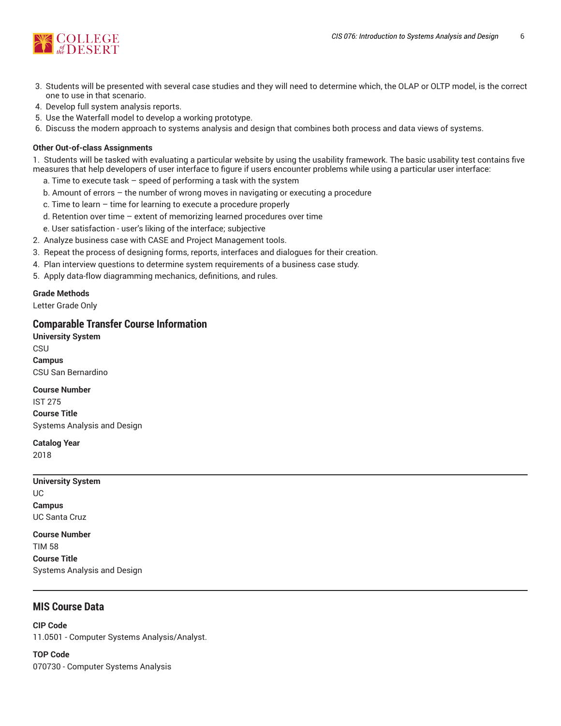

- 3. Students will be presented with several case studies and they will need to determine which, the OLAP or OLTP model, is the correct one to use in that scenario.
- 4. Develop full system analysis reports.
- 5. Use the Waterfall model to develop a working prototype.
- 6. Discuss the modern approach to systems analysis and design that combines both process and data views of systems.

#### **Other Out-of-class Assignments**

1. Students will be tasked with evaluating a particular website by using the usability framework. The basic usability test contains five measures that help developers of user interface to figure if users encounter problems while using a particular user interface:

- a. Time to execute task  $-$  speed of performing a task with the system
- b. Amount of errors the number of wrong moves in navigating or executing a procedure
- c. Time to learn time for learning to execute a procedure properly
- d. Retention over time extent of memorizing learned procedures over time
- e. User satisfaction user's liking of the interface; subjective
- 2. Analyze business case with CASE and Project Management tools.
- 3. Repeat the process of designing forms, reports, interfaces and dialogues for their creation.
- 4. Plan interview questions to determine system requirements of a business case study.
- 5. Apply data-flow diagramming mechanics, definitions, and rules.

#### **Grade Methods**

Letter Grade Only

# **Comparable Transfer Course Information**

**University System CSU Campus** CSU San Bernardino

**Course Number** IST 275 **Course Title**

Systems Analysis and Design

**Catalog Year** 2018

**University System** UC **Campus** UC Santa Cruz

**Course Number** TIM 58 **Course Title** Systems Analysis and Design

# **MIS Course Data**

**CIP Code** 11.0501 - Computer Systems Analysis/Analyst.

**TOP Code** 070730 - Computer Systems Analysis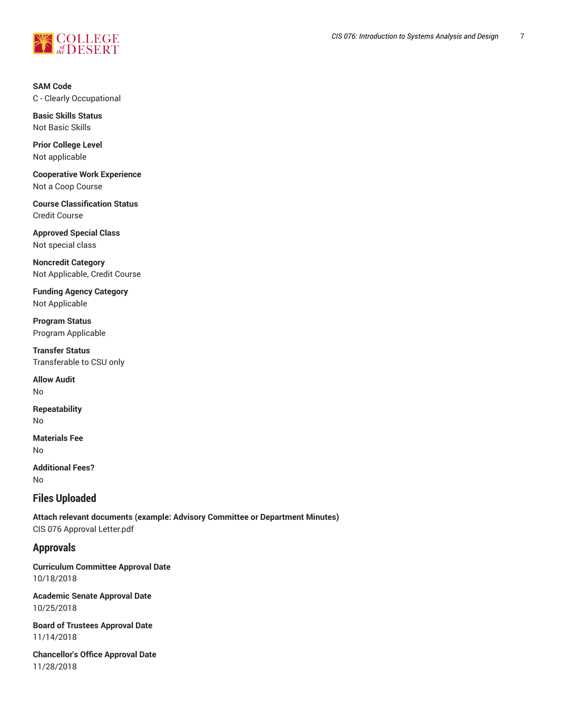

**SAM Code** C - Clearly Occupational

**Basic Skills Status** Not Basic Skills

**Prior College Level** Not applicable

**Cooperative Work Experience** Not a Coop Course

**Course Classification Status** Credit Course

**Approved Special Class** Not special class

**Noncredit Category** Not Applicable, Credit Course

**Funding Agency Category** Not Applicable

**Program Status** Program Applicable

**Transfer Status** Transferable to CSU only

**Allow Audit** No

**Repeatability** No

**Materials Fee** No

**Additional Fees?** No

# **Files Uploaded**

**Attach relevant documents (example: Advisory Committee or Department Minutes)** CIS 076 Approval Letter.pdf

# **Approvals**

**Curriculum Committee Approval Date** 10/18/2018

**Academic Senate Approval Date** 10/25/2018

**Board of Trustees Approval Date** 11/14/2018

**Chancellor's Office Approval Date** 11/28/2018